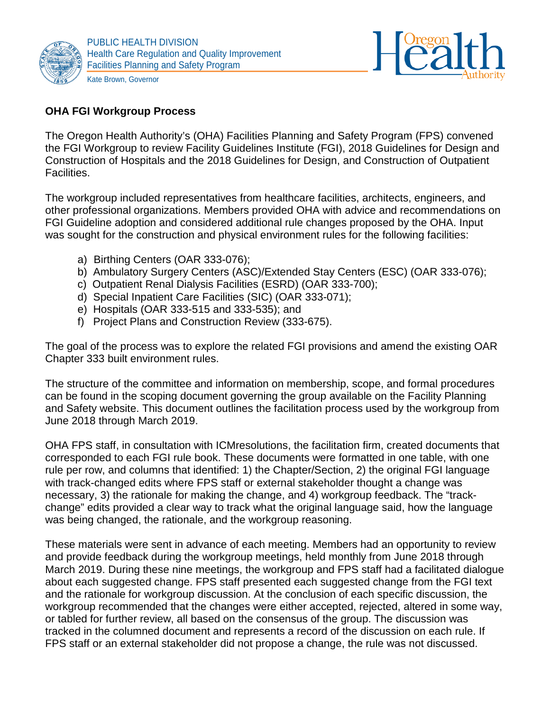



## **OHA FGI Workgroup Process**

The Oregon Health Authority's (OHA) Facilities Planning and Safety Program (FPS) convened the FGI Workgroup to review Facility Guidelines Institute (FGI), 2018 Guidelines for Design and Construction of Hospitals and the 2018 Guidelines for Design, and Construction of Outpatient Facilities.

The workgroup included representatives from healthcare facilities, architects, engineers, and other professional organizations. Members provided OHA with advice and recommendations on FGI Guideline adoption and considered additional rule changes proposed by the OHA. Input was sought for the construction and physical environment rules for the following facilities:

- a) Birthing Centers (OAR 333-076);
- b) Ambulatory Surgery Centers (ASC)/Extended Stay Centers (ESC) (OAR 333-076);
- c) Outpatient Renal Dialysis Facilities (ESRD) (OAR 333-700);
- d) Special Inpatient Care Facilities (SIC) (OAR 333-071);
- e) Hospitals (OAR 333-515 and 333-535); and
- f) Project Plans and Construction Review (333-675).

The goal of the process was to explore the related FGI provisions and amend the existing OAR Chapter 333 built environment rules.

The structure of the committee and information on membership, scope, and formal procedures can be found in the scoping document governing the group available on the Facility Planning and Safety website. This document outlines the facilitation process used by the workgroup from June 2018 through March 2019.

OHA FPS staff, in consultation with ICMresolutions, the facilitation firm, created documents that corresponded to each FGI rule book. These documents were formatted in one table, with one rule per row, and columns that identified: 1) the Chapter/Section, 2) the original FGI language with track-changed edits where FPS staff or external stakeholder thought a change was necessary, 3) the rationale for making the change, and 4) workgroup feedback. The "trackchange" edits provided a clear way to track what the original language said, how the language was being changed, the rationale, and the workgroup reasoning.

These materials were sent in advance of each meeting. Members had an opportunity to review and provide feedback during the workgroup meetings, held monthly from June 2018 through March 2019. During these nine meetings, the workgroup and FPS staff had a facilitated dialogue about each suggested change. FPS staff presented each suggested change from the FGI text and the rationale for workgroup discussion. At the conclusion of each specific discussion, the workgroup recommended that the changes were either accepted, rejected, altered in some way, or tabled for further review, all based on the consensus of the group. The discussion was tracked in the columned document and represents a record of the discussion on each rule. If FPS staff or an external stakeholder did not propose a change, the rule was not discussed.